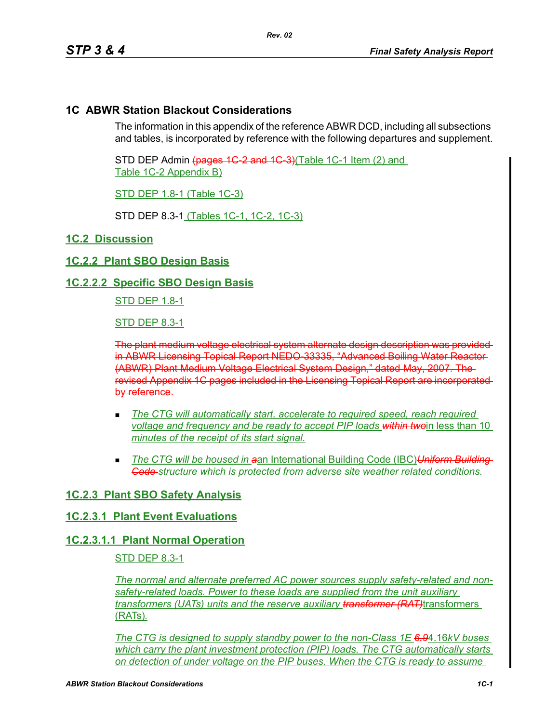# **1C ABWR Station Blackout Considerations**

The information in this appendix of the reference ABWR DCD, including all subsections and tables, is incorporated by reference with the following departures and supplement.

STD DEP Admin (pages 1C 2 and 1C 3)(Table 1C-1 Item (2) and Table 1C-2 Appendix B)

STD DEP 1.8-1 (Table 1C-3)

STD DEP 8.3-1 (Tables 1C-1, 1C-2, 1C-3)

### **1C.2 Discussion**

### **1C.2.2 Plant SBO Design Basis**

### **1C.2.2.2 Specific SBO Design Basis**

STD DEP 1.8-1

STD DEP 8.3-1

The plant medium voltage electrical system alternate design description was provided in ABWR Licensing Topical Report NEDO-33335, "Advanced Boiling Water Reactor (ABWR) Plant Medium Voltage Electrical System Design," dated May, 2007. The revised Appendix 1C pages included in the Licensing Topical Report are incorporated by reference.

- *The CTG will automatically start, accelerate to required speed, reach required voltage and frequency and be ready to accept PIP loads within twoin less than 10 minutes of the receipt of its start signal.*
- *The CTG will be housed in a*an International Building Code (IBC)*Uniform Building Code structure which is protected from adverse site weather related conditions.*

# **1C.2.3 Plant SBO Safety Analysis**

# **1C.2.3.1 Plant Event Evaluations**

#### **1C.2.3.1.1 Plant Normal Operation**

### STD DEP 8.3-1

*The normal and alternate preferred AC power sources supply safety-related and nonsafety-related loads. Power to these loads are supplied from the unit auxiliary transformers (UATs) units and the reserve auxiliary transformer (RAT)*transformers (RATs)*.*

*The CTG is designed to supply standby power to the non-Class 1E 6.9*4.16*kV buses which carry the plant investment protection (PIP) loads. The CTG automatically starts on detection of under voltage on the PIP buses. When the CTG is ready to assume*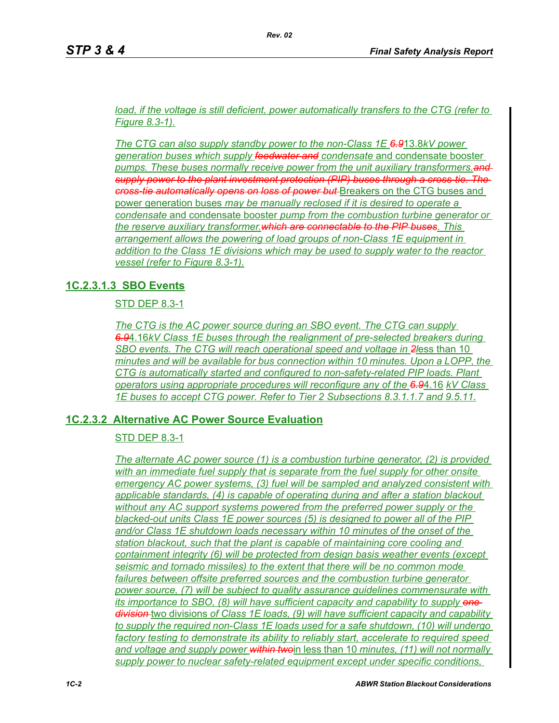*load, if the voltage is still deficient, power automatically transfers to the CTG (refer to Figure 8.3-1).*

*The CTG can also supply standby power to the non-Class 1E 6.9*13.8*kV power generation buses which supply feedwater and condensate* and condensate booster *pumps. These buses normally receive power from the unit auxiliary transformers.and supply power to the plant investment protection (PIP) buses through a cross-tie. The cross-tie automatically opens on loss of power but* Breakers on the CTG buses and power generation buses *may be manually reclosed if it is desired to operate a condensate* and condensate booster *pump from the combustion turbine generator or the reserve auxiliary transformer.which are connectable to the PIP buses*. *This arrangement allows the powering of load groups of non-Class 1E equipment in addition to the Class 1E divisions which may be used to supply water to the reactor vessel (refer to Figure 8.3-1).*

# **1C.2.3.1.3 SBO Events**

STD DEP 8.3-1

*The CTG is the AC power source during an SBO event. The CTG can supply 6.9*4.16*kV Class 1E buses through the realignment of pre-selected breakers during SBO events. The CTG will reach operational speed and voltage in 2l*ess than 10 *minutes and will be available for bus connection within 10 minutes. Upon a LOPP, the CTG is automatically started and configured to non-safety-related PIP loads. Plant operators using appropriate procedures will reconfigure any of the 6.9*4.16 *kV Class 1E buses to accept CTG power. Refer to Tier 2 Subsections 8.3.1.1.7 and 9.5.11.*

# **1C.2.3.2 Alternative AC Power Source Evaluation**

# STD DEP 8.3-1

*The alternate AC power source (1) is a combustion turbine generator, (2) is provided with an immediate fuel supply that is separate from the fuel supply for other onsite emergency AC power systems, (3) fuel will be sampled and analyzed consistent with applicable standards, (4) is capable of operating during and after a station blackout without any AC support systems powered from the preferred power supply or the blacked-out units Class 1E power sources (5) is designed to power all of the PIP and/or Class 1E shutdown loads necessary within 10 minutes of the onset of the station blackout, such that the plant is capable of maintaining core cooling and containment integrity (6) will be protected from design basis weather events (except seismic and tornado missiles) to the extent that there will be no common mode failures between offsite preferred sources and the combustion turbine generator power source, (7) will be subject to quality assurance guidelines commensurate with its importance to SBO, (8) will have sufficient capacity and capability to supply one division* two divisions *of Class 1E loads, (9) will have sufficient capacity and capability to supply the required non-Class 1E loads used for a safe shutdown, (10) will undergo factory testing to demonstrate its ability to reliably start, accelerate to required speed and voltage and supply power within two*in less than 10 *minutes, (11) will not normally supply power to nuclear safety-related equipment except under specific conditions,*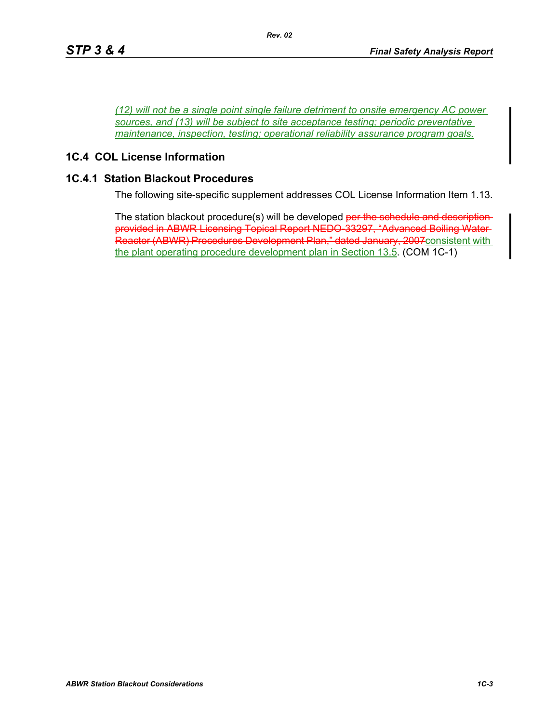*(12) will not be a single point single failure detriment to onsite emergency AC power sources, and (13) will be subject to site acceptance testing; periodic preventative maintenance, inspection, testing; operational reliability assurance program goals.*

## **1C.4 COL License Information**

#### **1C.4.1 Station Blackout Procedures**

The following site-specific supplement addresses COL License Information Item 1.13.

The station blackout procedure(s) will be developed per the schedule and descriptionprovided in ABWR Licensing Topical Report NEDO-33297, "Advanced Boiling Water Reactor (ABWR) Procedures Development Plan," dated January, 2007consistent with the plant operating procedure development plan in Section 13.5. (COM 1C-1)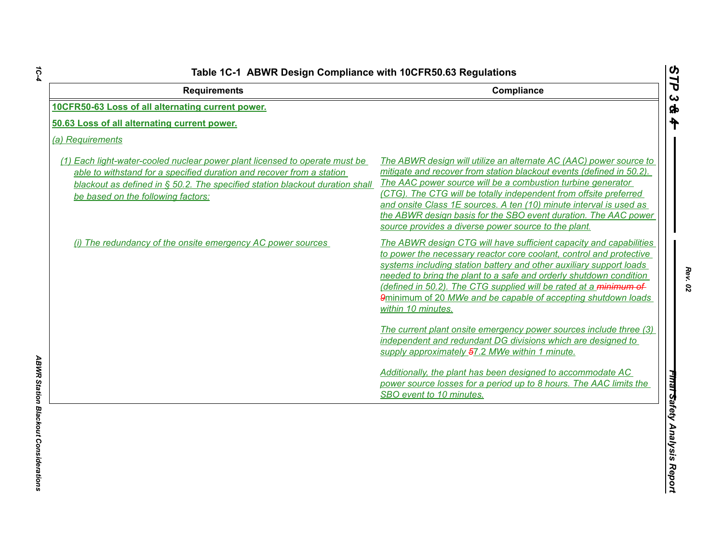| <b>Requirements</b>                                                                                                                                                                                                                                                           | Compliance                                                                                                                                                                                                                                                                                                                                                                                                                                                                      |
|-------------------------------------------------------------------------------------------------------------------------------------------------------------------------------------------------------------------------------------------------------------------------------|---------------------------------------------------------------------------------------------------------------------------------------------------------------------------------------------------------------------------------------------------------------------------------------------------------------------------------------------------------------------------------------------------------------------------------------------------------------------------------|
| 10CFR50-63 Loss of all alternating current power.                                                                                                                                                                                                                             |                                                                                                                                                                                                                                                                                                                                                                                                                                                                                 |
| 50.63 Loss of all alternating current power.                                                                                                                                                                                                                                  |                                                                                                                                                                                                                                                                                                                                                                                                                                                                                 |
| (a) Requirements                                                                                                                                                                                                                                                              |                                                                                                                                                                                                                                                                                                                                                                                                                                                                                 |
| (1) Each light-water-cooled nuclear power plant licensed to operate must be<br>able to withstand for a specified duration and recover from a station<br>blackout as defined in $\S$ 50.2. The specified station blackout duration shall<br>be based on the following factors: | The ABWR design will utilize an alternate AC (AAC) power source to<br>mitigate and recover from station blackout events (defined in 50.2).<br>The AAC power source will be a combustion turbine generator<br>(CTG). The CTG will be totally independent from offsite preferred<br>and onsite Class 1E sources. A ten (10) minute interval is used as<br>the ABWR design basis for the SBO event duration. The AAC power<br>source provides a diverse power source to the plant. |
| (i) The redundancy of the onsite emergency AC power sources                                                                                                                                                                                                                   | The ABWR design CTG will have sufficient capacity and capabilities<br>to power the necessary reactor core coolant, control and protective<br>systems including station battery and other auxiliary support loads<br>needed to bring the plant to a safe and orderly shutdown condition<br>(defined in 50.2). The CTG supplied will be rated at a minimum of<br>9minimum of 20 MWe and be capable of accepting shutdown loads<br>within 10 minutes.                              |
|                                                                                                                                                                                                                                                                               | The current plant onsite emergency power sources include three (3)<br>independent and redundant DG divisions which are designed to<br>supply approximately 57.2 MWe within 1 minute.                                                                                                                                                                                                                                                                                            |
|                                                                                                                                                                                                                                                                               | Additionally, the plant has been designed to accommodate AC<br>power source losses for a period up to 8 hours. The AAC limits the<br>SBO event to 10 minutes.                                                                                                                                                                                                                                                                                                                   |

*1C-4*

*Rev. 02*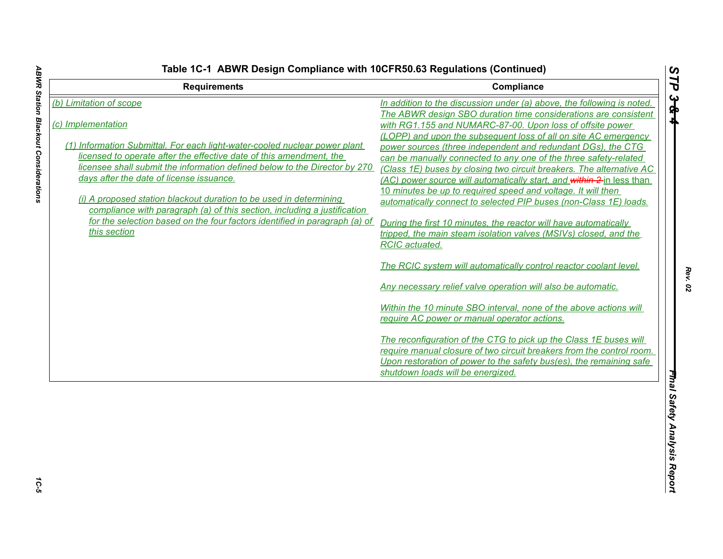| <b>Requirements</b>                                                        | Compliance                                                             |
|----------------------------------------------------------------------------|------------------------------------------------------------------------|
| (b) Limitation of scope                                                    | In addition to the discussion under (a) above, the following is noted. |
|                                                                            | The ABWR design SBO duration time considerations are consistent        |
| (c) Implementation                                                         | with RG1.155 and NUMARC-87-00. Upon loss of offsite power              |
|                                                                            | (LOPP) and upon the subsequent loss of all on site AC emergency        |
| (1) Information Submittal. For each light-water-cooled nuclear power plant | power sources (three independent and redundant DGs), the CTG           |
| licensed to operate after the effective date of this amendment, the        | can be manually connected to any one of the three safety-related       |
| licensee shall submit the information defined below to the Director by 270 | (Class 1E) buses by closing two circuit breakers. The alternative AC   |
| days after the date of license issuance.                                   | (AC) power source will automatically start, and within 2 in less than  |
|                                                                            | 10 minutes be up to required speed and voltage. It will then           |
| (i) A proposed station blackout duration to be used in determining         | automatically connect to selected PIP buses (non-Class 1E) loads.      |
| compliance with paragraph (a) of this section, including a justification   |                                                                        |
| for the selection based on the four factors identified in paragraph (a) of | During the first 10 minutes, the reactor will have automatically       |
| this section                                                               | tripped, the main steam isolation valves (MSIVs) closed, and the       |
|                                                                            | <b>RCIC</b> actuated.                                                  |
|                                                                            | The RCIC system will automatically control reactor coolant level.      |
|                                                                            | Any necessary relief valve operation will also be automatic.           |
|                                                                            | Within the 10 minute SBO interval, none of the above actions will      |
|                                                                            | require AC power or manual operator actions.                           |
|                                                                            |                                                                        |
|                                                                            | The reconfiguration of the CTG to pick up the Class 1E buses will      |
|                                                                            | require manual closure of two circuit breakers from the control room.  |
|                                                                            | Upon restoration of power to the safety bus(es), the remaining safe    |
|                                                                            | shutdown loads will be energized.                                      |

1C-5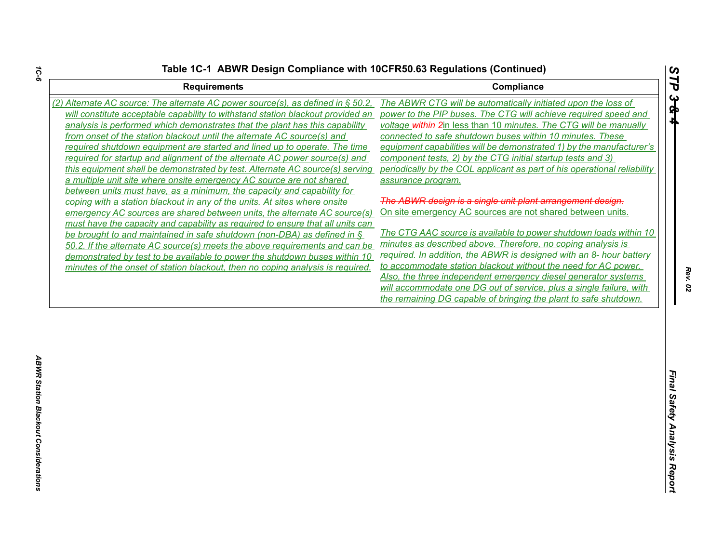| <b>Requirements</b>                                                                 | Compliance                                                               |
|-------------------------------------------------------------------------------------|--------------------------------------------------------------------------|
| (2) Alternate AC source: The alternate AC power source(s), as defined in $\S$ 50.2, | The ABWR CTG will be automatically initiated upon the loss of            |
| will constitute acceptable capability to withstand station blackout provided an     | power to the PIP buses. The CTG will achieve required speed and          |
| analysis is performed which demonstrates that the plant has this capability         | voltage within 2in less than 10 minutes. The CTG will be manually        |
| from onset of the station blackout until the alternate AC source(s) and             | connected to safe shutdown buses within 10 minutes. These                |
| required shutdown equipment are started and lined up to operate. The time           | equipment capabilities will be demonstrated 1) by the manufacturer's     |
| required for startup and alignment of the alternate AC power source(s) and          | component tests, 2) by the CTG initial startup tests and 3)              |
| this equipment shall be demonstrated by test. Alternate AC source(s) serving        | periodically by the COL applicant as part of his operational reliability |
| a multiple unit site where onsite emergency AC source are not shared                | assurance program.                                                       |
| between units must have, as a minimum, the capacity and capability for              |                                                                          |
| coping with a station blackout in any of the units. At sites where onsite           | The ABWR design is a single unit plant arrangement design.               |
| emergency AC sources are shared between units, the alternate AC source(s)           | On site emergency AC sources are not shared between units.               |
| must have the capacity and capability as required to ensure that all units can      |                                                                          |
| be brought to and maintained in safe shutdown (non-DBA) as defined in $\frac{1}{2}$ | The CTG AAC source is available to power shutdown loads within 10        |
| 50.2. If the alternate AC source(s) meets the above requirements and can be         | minutes as described above. Therefore, no coping analysis is             |
| demonstrated by test to be available to power the shutdown buses within 10          | required. In addition, the ABWR is designed with an 8- hour battery      |
| minutes of the onset of station blackout, then no coping analysis is required.      | to accommodate station blackout without the need for AC power.           |
|                                                                                     | Also, the three independent emergency diesel generator systems           |
|                                                                                     | will accommodate one DG out of service, plus a single failure, with      |
|                                                                                     | the remaining DG capable of bringing the plant to safe shutdown.         |
|                                                                                     |                                                                          |
|                                                                                     |                                                                          |
|                                                                                     |                                                                          |
|                                                                                     |                                                                          |
|                                                                                     |                                                                          |
|                                                                                     |                                                                          |
|                                                                                     |                                                                          |
|                                                                                     |                                                                          |
|                                                                                     |                                                                          |
|                                                                                     |                                                                          |
|                                                                                     |                                                                          |
|                                                                                     |                                                                          |
|                                                                                     |                                                                          |

*STP 3 & 4*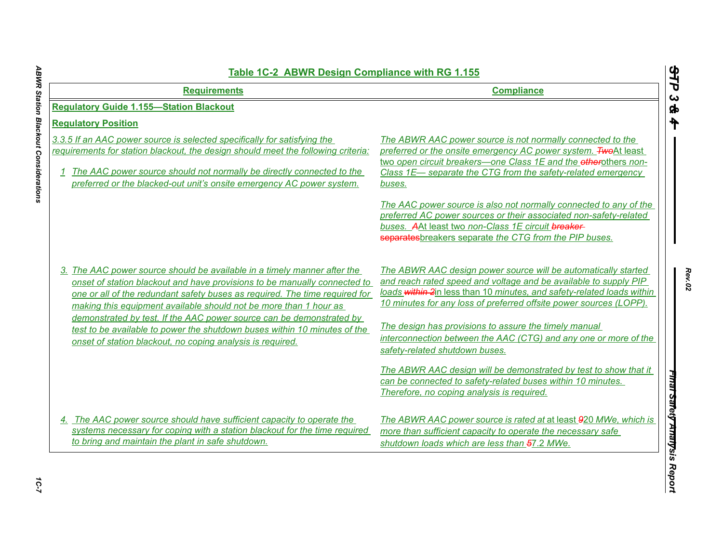| <b>Requirements</b>                                                                                                                                                                                                                                                                                               | <b>Compliance</b>                                                                                                                                                                                                                                                                  |
|-------------------------------------------------------------------------------------------------------------------------------------------------------------------------------------------------------------------------------------------------------------------------------------------------------------------|------------------------------------------------------------------------------------------------------------------------------------------------------------------------------------------------------------------------------------------------------------------------------------|
| <b>Regulatory Guide 1.155-Station Blackout</b>                                                                                                                                                                                                                                                                    |                                                                                                                                                                                                                                                                                    |
| <b>Requlatory Position</b>                                                                                                                                                                                                                                                                                        |                                                                                                                                                                                                                                                                                    |
| 3.3.5 If an AAC power source is selected specifically for satisfying the<br>requirements for station blackout, the design should meet the following criteria:<br>1 The AAC power source should not normally be directly connected to the<br>preferred or the blacked-out unit's onsite emergency AC power system. | The ABWR AAC power source is not normally connected to the<br>preferred or the onsite emergency AC power system. <b>Two</b> At least<br>two open circuit breakers-one Class 1E and the otherothers non-<br>Class 1E- separate the CTG from the safety-related emergency<br>buses.  |
|                                                                                                                                                                                                                                                                                                                   | The AAC power source is also not normally connected to any of the<br>preferred AC power sources or their associated non-safety-related<br>buses. AAt least two non-Class 1E circuit breaker-<br>separates breakers separate the CTG from the PIP buses.                            |
| 3. The AAC power source should be available in a timely manner after the<br>onset of station blackout and have provisions to be manually connected to<br>one or all of the redundant safety buses as required. The time required for<br>making this equipment available should not be more than 1 hour as         | The ABWR AAC design power source will be automatically started<br>and reach rated speed and voltage and be available to supply PIP<br>loads within 2in less than 10 minutes, and safety-related loads within<br>10 minutes for any loss of preferred offsite power sources (LOPP). |
| demonstrated by test. If the AAC power source can be demonstrated by<br>test to be available to power the shutdown buses within 10 minutes of the<br>onset of station blackout, no coping analysis is required.                                                                                                   | The design has provisions to assure the timely manual<br>interconnection between the AAC (CTG) and any one or more of the<br>safety-related shutdown buses.                                                                                                                        |
|                                                                                                                                                                                                                                                                                                                   | The ABWR AAC design will be demonstrated by test to show that it<br>can be connected to safety-related buses within 10 minutes.<br>Therefore, no coping analysis is required.                                                                                                      |
| 4. The AAC power source should have sufficient capacity to operate the<br>systems necessary for coping with a station blackout for the time required<br>to bring and maintain the plant in safe shutdown.                                                                                                         | The ABWR AAC power source is rated at at least 920 MWe, which is<br>more than sufficient capacity to operate the necessary safe<br>shutdown loads which are less than 57.2 MWe.                                                                                                    |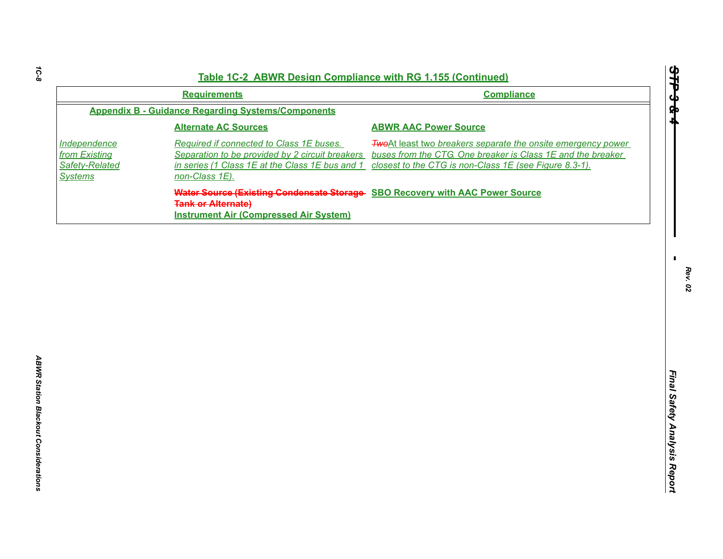| Independence                                      | <b>Appendix B - Guidance Regarding Systems/Components</b>                                                                                                        | <b>Compliance</b>                                                                                                                                                                             |
|---------------------------------------------------|------------------------------------------------------------------------------------------------------------------------------------------------------------------|-----------------------------------------------------------------------------------------------------------------------------------------------------------------------------------------------|
|                                                   |                                                                                                                                                                  |                                                                                                                                                                                               |
|                                                   | <b>Alternate AC Sources</b>                                                                                                                                      | <b>ABWR AAC Power Source</b>                                                                                                                                                                  |
| from Existing<br>Safety-Related<br><b>Systems</b> | Required if connected to Class 1E buses.<br>Separation to be provided by 2 circuit breakers<br>in series (1 Class 1E at the Class 1E bus and 1<br>non-Class 1E). | <b>Two</b> At least two breakers separate the onsite emergency power<br>buses from the CTG. One breaker is Class 1E and the breaker<br>closest to the CTG is non-Class 1E (see Figure 8.3-1). |
|                                                   | Water Source (Existing Condensate Storage SBO Recovery with AAC Power Source<br><b>Tank or Alternate)</b><br><b>Instrument Air (Compressed Air System)</b>       |                                                                                                                                                                                               |

*STP 3 & 4*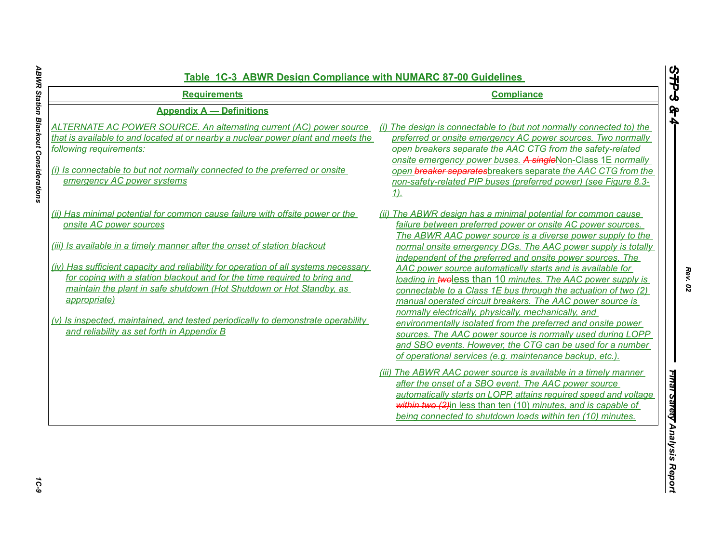| <b>Requirements</b>                                                                                                                                                                                                                                                                                                                                                                                                                                                                                                                                                                 | <b>Compliance</b>                                                                                                                                                                                                                                                                                                                                                                                                                                                                                                                                                                                                                                                                                                                                                                                                                                                                                   |
|-------------------------------------------------------------------------------------------------------------------------------------------------------------------------------------------------------------------------------------------------------------------------------------------------------------------------------------------------------------------------------------------------------------------------------------------------------------------------------------------------------------------------------------------------------------------------------------|-----------------------------------------------------------------------------------------------------------------------------------------------------------------------------------------------------------------------------------------------------------------------------------------------------------------------------------------------------------------------------------------------------------------------------------------------------------------------------------------------------------------------------------------------------------------------------------------------------------------------------------------------------------------------------------------------------------------------------------------------------------------------------------------------------------------------------------------------------------------------------------------------------|
| <b>Appendix A - Definitions</b><br>ALTERNATE AC POWER SOURCE. An alternating current (AC) power source<br>that is available to and located at or nearby a nuclear power plant and meets the<br>following requirements:<br>(i) Is connectable to but not normally connected to the preferred or onsite<br>emergency AC power systems                                                                                                                                                                                                                                                 | (i) The design is connectable to (but not normally connected to) the<br>preferred or onsite emergency AC power sources. Two normally<br>open breakers separate the AAC CTG from the safety-related<br>onsite emergency power buses. A singleNon-Class 1E normally<br>open breaker separates breakers separate the AAC CTG from the<br>non-safety-related PIP buses (preferred power) (see Figure 8.3-<br><u>1).</u>                                                                                                                                                                                                                                                                                                                                                                                                                                                                                 |
| (ii) Has minimal potential for common cause failure with offsite power or the<br>onsite AC power sources<br>(iii) Is available in a timely manner after the onset of station blackout<br>(iv) Has sufficient capacity and reliability for operation of all systems necessary<br>for coping with a station blackout and for the time required to bring and<br>maintain the plant in safe shutdown (Hot Shutdown or Hot Standby, as<br>appropriate)<br>(v) Is inspected, maintained, and tested periodically to demonstrate operability<br>and reliability as set forth in Appendix B | (ii) The ABWR design has a minimal potential for common cause<br>failure between preferred power or onsite AC power sources.<br>The ABWR AAC power source is a diverse power supply to the<br>normal onsite emergency DGs. The AAC power supply is totally<br>independent of the preferred and onsite power sources. The<br>AAC power source automatically starts and is available for<br>loading in twoless than 10 minutes. The AAC power supply is<br>connectable to a Class 1E bus through the actuation of two (2)<br>manual operated circuit breakers. The AAC power source is<br>normally electrically, physically, mechanically, and<br>environmentally isolated from the preferred and onsite power<br>sources. The AAC power source is normally used during LOPP<br>and SBO events. However, the CTG can be used for a number<br>of operational services (e.g. maintenance backup, etc.). |
|                                                                                                                                                                                                                                                                                                                                                                                                                                                                                                                                                                                     | (iii) The ABWR AAC power source is available in a timely manner<br>after the onset of a SBO event. The AAC power source<br>automatically starts on LOPP, attains required speed and voltage<br>within two (2) in less than ten (10) minutes, and is capable of<br>being connected to shutdown loads within ten (10) minutes.                                                                                                                                                                                                                                                                                                                                                                                                                                                                                                                                                                        |

1C-9